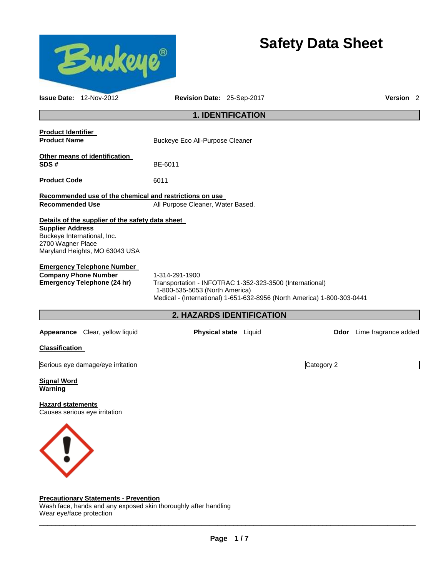

# **Safety Data Sheet**

| Issue Date: 12-Nov-2012                                                                                                                                           | Revision Date: 25-Sep-2017                                                                                                                                                              |                           |            | Version <sub>2</sub>      |
|-------------------------------------------------------------------------------------------------------------------------------------------------------------------|-----------------------------------------------------------------------------------------------------------------------------------------------------------------------------------------|---------------------------|------------|---------------------------|
|                                                                                                                                                                   |                                                                                                                                                                                         | <b>1. IDENTIFICATION</b>  |            |                           |
| <b>Product Identifier</b><br><b>Product Name</b>                                                                                                                  | Buckeye Eco All-Purpose Cleaner                                                                                                                                                         |                           |            |                           |
| Other means of identification<br>SDS#                                                                                                                             | BE-6011                                                                                                                                                                                 |                           |            |                           |
| <b>Product Code</b>                                                                                                                                               | 6011                                                                                                                                                                                    |                           |            |                           |
| Recommended use of the chemical and restrictions on use<br><b>Recommended Use</b>                                                                                 | All Purpose Cleaner, Water Based.                                                                                                                                                       |                           |            |                           |
| Details of the supplier of the safety data sheet<br><b>Supplier Address</b><br>Buckeye International, Inc.<br>2700 Wagner Place<br>Maryland Heights, MO 63043 USA |                                                                                                                                                                                         |                           |            |                           |
| <b>Emergency Telephone Number</b><br><b>Company Phone Number</b><br><b>Emergency Telephone (24 hr)</b>                                                            | 1-314-291-1900<br>Transportation - INFOTRAC 1-352-323-3500 (International)<br>1-800-535-5053 (North America)<br>Medical - (International) 1-651-632-8956 (North America) 1-800-303-0441 |                           |            |                           |
|                                                                                                                                                                   |                                                                                                                                                                                         | 2. HAZARDS IDENTIFICATION |            |                           |
| Appearance Clear, yellow liquid                                                                                                                                   |                                                                                                                                                                                         | Physical state Liquid     |            | Odor Lime fragrance added |
| <b>Classification</b>                                                                                                                                             |                                                                                                                                                                                         |                           |            |                           |
| Serious eye damage/eye irritation                                                                                                                                 |                                                                                                                                                                                         |                           | Category 2 |                           |
| <b>Signal Word</b><br>Warning                                                                                                                                     |                                                                                                                                                                                         |                           |            |                           |
| <b>Hazard statements</b><br>Causes serious eye irritation                                                                                                         |                                                                                                                                                                                         |                           |            |                           |
|                                                                                                                                                                   |                                                                                                                                                                                         |                           |            |                           |

# **Precautionary Statements - Prevention**

Wash face, hands and any exposed skin thoroughly after handling Wear eye/face protection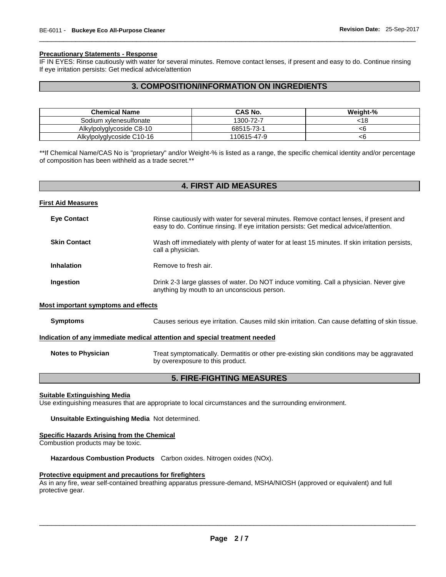# **Precautionary Statements - Response**

IF IN EYES: Rinse cautiously with water for several minutes. Remove contact lenses, if present and easy to do. Continue rinsing If eye irritation persists: Get medical advice/attention

\_\_\_\_\_\_\_\_\_\_\_\_\_\_\_\_\_\_\_\_\_\_\_\_\_\_\_\_\_\_\_\_\_\_\_\_\_\_\_\_\_\_\_\_\_\_\_\_\_\_\_\_\_\_\_\_\_\_\_\_\_\_\_\_\_\_\_\_\_\_\_\_\_\_\_\_\_\_\_\_\_\_\_\_\_\_\_\_\_\_\_\_\_

# **3. COMPOSITION/INFORMATION ON INGREDIENTS**

| <b>Chemical Name</b>      | CAS No.     | Weight-% |
|---------------------------|-------------|----------|
| Sodium xylenesulfonate    | 1300-72-7   | :18      |
| Alkylpolyglycoside C8-10  | 68515-73-1  |          |
| Alkylpolyglycoside C10-16 | 110615-47-9 | <6       |

\*\*If Chemical Name/CAS No is "proprietary" and/or Weight-% is listed as a range, the specific chemical identity and/or percentage of composition has been withheld as a trade secret.\*\*

| <b>4. FIRST AID MEASURES</b>                                               |                                                                                                                                                                                   |  |  |  |
|----------------------------------------------------------------------------|-----------------------------------------------------------------------------------------------------------------------------------------------------------------------------------|--|--|--|
| <b>First Aid Measures</b>                                                  |                                                                                                                                                                                   |  |  |  |
| <b>Eye Contact</b>                                                         | Rinse cautiously with water for several minutes. Remove contact lenses, if present and<br>easy to do. Continue rinsing. If eye irritation persists: Get medical advice/attention. |  |  |  |
| <b>Skin Contact</b>                                                        | Wash off immediately with plenty of water for at least 15 minutes. If skin irritation persists,<br>call a physician.                                                              |  |  |  |
| <b>Inhalation</b>                                                          | Remove to fresh air.                                                                                                                                                              |  |  |  |
| Ingestion                                                                  | Drink 2-3 large glasses of water. Do NOT induce vomiting. Call a physician. Never give<br>anything by mouth to an unconscious person.                                             |  |  |  |
| <b>Most important symptoms and effects</b>                                 |                                                                                                                                                                                   |  |  |  |
| <b>Symptoms</b>                                                            | Causes serious eye irritation. Causes mild skin irritation. Can cause defatting of skin tissue.                                                                                   |  |  |  |
| Indication of any immediate medical attention and special treatment needed |                                                                                                                                                                                   |  |  |  |
| <b>Notes to Physician</b>                                                  | Treat symptomatically. Dermatitis or other pre-existing skin conditions may be aggravated<br>by overexposure to this product.                                                     |  |  |  |
| <b>5. FIRE-FIGHTING MEASURES</b>                                           |                                                                                                                                                                                   |  |  |  |

# **Suitable Extinguishing Media**

Use extinguishing measures that are appropriate to local circumstances and the surrounding environment.

**Unsuitable Extinguishing Media** Not determined.

# **Specific Hazards Arising from the Chemical**

Combustion products may be toxic.

**Hazardous Combustion Products** Carbon oxides. Nitrogen oxides (NOx).

# **Protective equipment and precautions for firefighters**

As in any fire, wear self-contained breathing apparatus pressure-demand, MSHA/NIOSH (approved or equivalent) and full protective gear.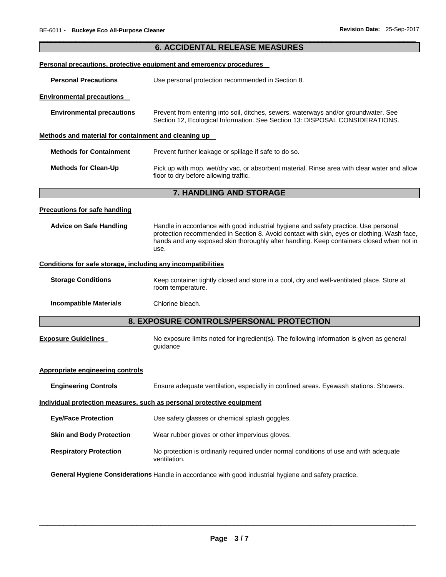|                                                              | <b>6. ACCIDENTAL RELEASE MEASURES</b>                                                                                                                                                                                                                                                 |
|--------------------------------------------------------------|---------------------------------------------------------------------------------------------------------------------------------------------------------------------------------------------------------------------------------------------------------------------------------------|
|                                                              | Personal precautions, protective equipment and emergency procedures                                                                                                                                                                                                                   |
| <b>Personal Precautions</b>                                  | Use personal protection recommended in Section 8.                                                                                                                                                                                                                                     |
| <b>Environmental precautions</b>                             |                                                                                                                                                                                                                                                                                       |
| <b>Environmental precautions</b>                             | Prevent from entering into soil, ditches, sewers, waterways and/or groundwater. See<br>Section 12, Ecological Information. See Section 13: DISPOSAL CONSIDERATIONS.                                                                                                                   |
| Methods and material for containment and cleaning up         |                                                                                                                                                                                                                                                                                       |
| <b>Methods for Containment</b>                               | Prevent further leakage or spillage if safe to do so.                                                                                                                                                                                                                                 |
| <b>Methods for Clean-Up</b>                                  | Pick up with mop, wet/dry vac, or absorbent material. Rinse area with clear water and allow<br>floor to dry before allowing traffic.                                                                                                                                                  |
|                                                              | 7. HANDLING AND STORAGE                                                                                                                                                                                                                                                               |
| <b>Precautions for safe handling</b>                         |                                                                                                                                                                                                                                                                                       |
| <b>Advice on Safe Handling</b>                               | Handle in accordance with good industrial hygiene and safety practice. Use personal<br>protection recommended in Section 8. Avoid contact with skin, eyes or clothing. Wash face,<br>hands and any exposed skin thoroughly after handling. Keep containers closed when not in<br>use. |
| Conditions for safe storage, including any incompatibilities |                                                                                                                                                                                                                                                                                       |
| <b>Storage Conditions</b>                                    | Keep container tightly closed and store in a cool, dry and well-ventilated place. Store at<br>room temperature.                                                                                                                                                                       |
| <b>Incompatible Materials</b>                                | Chlorine bleach.                                                                                                                                                                                                                                                                      |
|                                                              | 8. EXPOSURE CONTROLS/PERSONAL PROTECTION                                                                                                                                                                                                                                              |
| <b>Exposure Guidelines</b>                                   | No exposure limits noted for ingredient(s). The following information is given as general<br>guidance                                                                                                                                                                                 |
| <b>Appropriate engineering controls</b>                      |                                                                                                                                                                                                                                                                                       |
| <b>Engineering Controls</b>                                  | Ensure adequate ventilation, especially in confined areas. Eyewash stations. Showers.                                                                                                                                                                                                 |
|                                                              | Individual protection measures, such as personal protective equipment                                                                                                                                                                                                                 |
| <b>Eye/Face Protection</b>                                   | Use safety glasses or chemical splash goggles.                                                                                                                                                                                                                                        |
| <b>Skin and Body Protection</b>                              | Wear rubber gloves or other impervious gloves.                                                                                                                                                                                                                                        |
| <b>Respiratory Protection</b>                                | No protection is ordinarily required under normal conditions of use and with adequate<br>ventilation.                                                                                                                                                                                 |
|                                                              | General Hygiene Considerations Handle in accordance with good industrial hygiene and safety practice.                                                                                                                                                                                 |

\_\_\_\_\_\_\_\_\_\_\_\_\_\_\_\_\_\_\_\_\_\_\_\_\_\_\_\_\_\_\_\_\_\_\_\_\_\_\_\_\_\_\_\_\_\_\_\_\_\_\_\_\_\_\_\_\_\_\_\_\_\_\_\_\_\_\_\_\_\_\_\_\_\_\_\_\_\_\_\_\_\_\_\_\_\_\_\_\_\_\_\_\_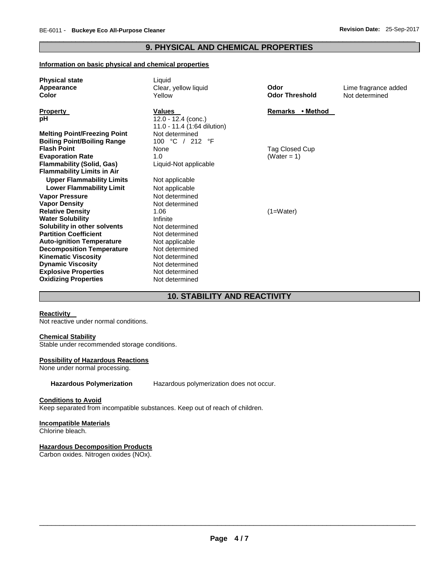# \_\_\_\_\_\_\_\_\_\_\_\_\_\_\_\_\_\_\_\_\_\_\_\_\_\_\_\_\_\_\_\_\_\_\_\_\_\_\_\_\_\_\_\_\_\_\_\_\_\_\_\_\_\_\_\_\_\_\_\_\_\_\_\_\_\_\_\_\_\_\_\_\_\_\_\_\_\_\_\_\_\_\_\_\_\_\_\_\_\_\_\_\_ **9. PHYSICAL AND CHEMICAL PROPERTIES**

# **Information on basic physical and chemical properties**

| <b>Physical state</b>               | Liquid                      |                            |                      |
|-------------------------------------|-----------------------------|----------------------------|----------------------|
| Appearance                          | Clear, yellow liquid        | Odor                       | Lime fragrance added |
| Color                               | Yellow                      | <b>Odor Threshold</b>      | Not determined       |
| <b>Property</b>                     | <b>Values</b>               | • Method<br><b>Remarks</b> |                      |
| рH                                  | $12.0 - 12.4$ (conc.)       |                            |                      |
|                                     | 11.0 - 11.4 (1:64 dilution) |                            |                      |
| <b>Melting Point/Freezing Point</b> | Not determined              |                            |                      |
| <b>Boiling Point/Boiling Range</b>  | 100 °C<br>/ 212 °F          |                            |                      |
| <b>Flash Point</b>                  | None                        | Tag Closed Cup             |                      |
| <b>Evaporation Rate</b>             | 1.0                         | (Water = $1$ )             |                      |
| <b>Flammability (Solid, Gas)</b>    | Liquid-Not applicable       |                            |                      |
| <b>Flammability Limits in Air</b>   |                             |                            |                      |
| <b>Upper Flammability Limits</b>    | Not applicable              |                            |                      |
| <b>Lower Flammability Limit</b>     | Not applicable              |                            |                      |
| <b>Vapor Pressure</b>               | Not determined              |                            |                      |
| <b>Vapor Density</b>                | Not determined              |                            |                      |
| <b>Relative Density</b>             | 1.06                        | $(1=Water)$                |                      |
| <b>Water Solubility</b>             | Infinite                    |                            |                      |
| Solubility in other solvents        | Not determined              |                            |                      |
| <b>Partition Coefficient</b>        | Not determined              |                            |                      |
| <b>Auto-ignition Temperature</b>    | Not applicable              |                            |                      |
| <b>Decomposition Temperature</b>    | Not determined              |                            |                      |
| <b>Kinematic Viscosity</b>          | Not determined              |                            |                      |
| <b>Dynamic Viscosity</b>            | Not determined              |                            |                      |
| <b>Explosive Properties</b>         | Not determined              |                            |                      |
| <b>Oxidizing Properties</b>         | Not determined              |                            |                      |

# **10. STABILITY AND REACTIVITY**

# **Reactivity**

Not reactive under normal conditions.

# **Chemical Stability**

Stable under recommended storage conditions.

# **Possibility of Hazardous Reactions**

None under normal processing.

**Hazardous Polymerization** Hazardous polymerization does not occur.

# **Conditions to Avoid**

Keep separated from incompatible substances. Keep out of reach of children.

# **Incompatible Materials**

Chlorine bleach.

# **Hazardous Decomposition Products**

Carbon oxides. Nitrogen oxides (NOx).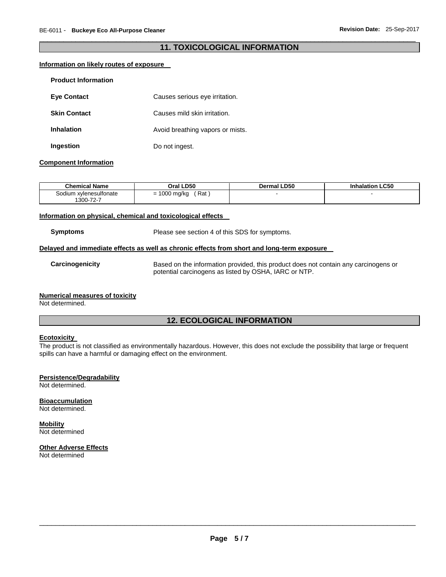# \_\_\_\_\_\_\_\_\_\_\_\_\_\_\_\_\_\_\_\_\_\_\_\_\_\_\_\_\_\_\_\_\_\_\_\_\_\_\_\_\_\_\_\_\_\_\_\_\_\_\_\_\_\_\_\_\_\_\_\_\_\_\_\_\_\_\_\_\_\_\_\_\_\_\_\_\_\_\_\_\_\_\_\_\_\_\_\_\_\_\_\_\_ **11. TOXICOLOGICAL INFORMATION**

# **Information on likely routes of exposure**

| <b>Product Information</b> |                                  |
|----------------------------|----------------------------------|
| <b>Eve Contact</b>         | Causes serious eye irritation.   |
| <b>Skin Contact</b>        | Causes mild skin irritation.     |
| <b>Inhalation</b>          | Avoid breathing vapors or mists. |
| Ingestion                  | Do not ingest.                   |

# **Component Information**

| <b>Chemical Name</b>                | Oral LD50         | <b>Dermal LD50</b> | <b>Inhalation LC50</b> |
|-------------------------------------|-------------------|--------------------|------------------------|
| Sodium xvlenesulfonate<br>1300-72-7 | Rat<br>1000 mg/kg |                    |                        |

# **Information on physical, chemical and toxicological effects**

**Symptoms** Please see section 4 of this SDS for symptoms.

# **Delayed and immediate effects as well as chronic effects from short and long-term exposure**

**Carcinogenicity** Based on the information provided, this product does not contain any carcinogens or potential carcinogens as listed by OSHA, IARC or NTP.

#### **Numerical measures of toxicity**

Not determined.

# **12. ECOLOGICAL INFORMATION**

# **Ecotoxicity**

The product is not classified as environmentally hazardous. However, this does not exclude the possibility that large or frequent spills can have a harmful or damaging effect on the environment.

# **Persistence/Degradability**

Not determined.

# **Bioaccumulation**

Not determined.

# **Mobility**

Not determined

# **Other Adverse Effects**

Not determined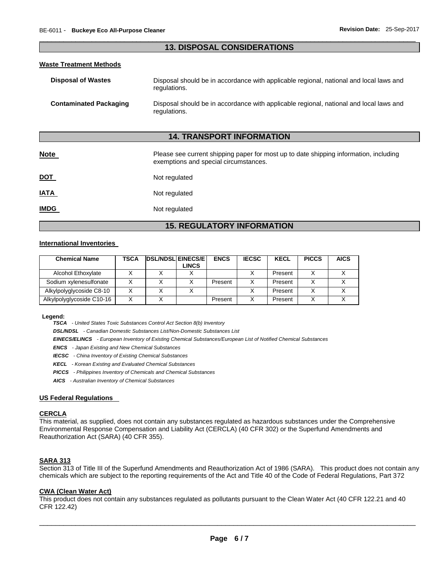# \_\_\_\_\_\_\_\_\_\_\_\_\_\_\_\_\_\_\_\_\_\_\_\_\_\_\_\_\_\_\_\_\_\_\_\_\_\_\_\_\_\_\_\_\_\_\_\_\_\_\_\_\_\_\_\_\_\_\_\_\_\_\_\_\_\_\_\_\_\_\_\_\_\_\_\_\_\_\_\_\_\_\_\_\_\_\_\_\_\_\_\_\_ **13. DISPOSAL CONSIDERATIONS**

# **Waste Treatment Methods**

| <b>Disposal of Wastes</b>     | Disposal should be in accordance with applicable regional, national and local laws and<br>regulations. |
|-------------------------------|--------------------------------------------------------------------------------------------------------|
| <b>Contaminated Packaging</b> | Disposal should be in accordance with applicable regional, national and local laws and<br>regulations. |

# **14. TRANSPORT INFORMATION**

| <b>Note</b> | Please see current shipping paper for most up to date shipping information, including<br>exemptions and special circumstances. |
|-------------|--------------------------------------------------------------------------------------------------------------------------------|
| <u>DOT</u>  | Not regulated                                                                                                                  |
| <u>IATA</u> | Not regulated                                                                                                                  |
| <b>IMDG</b> | Not regulated                                                                                                                  |

# **15. REGULATORY INFORMATION**

# **International Inventories**

| <b>Chemical Name</b>      | <b>TSCA</b> | <b>DSL/NDSL EINECS/E</b><br>LINCS | <b>ENCS</b> | <b>IECSC</b> | <b>KECL</b> | <b>PICCS</b> | <b>AICS</b> |
|---------------------------|-------------|-----------------------------------|-------------|--------------|-------------|--------------|-------------|
| Alcohol Ethoxylate        |             |                                   |             |              | Present     |              |             |
| Sodium xylenesulfonate    |             |                                   | Present     |              | Present     |              |             |
| Alkylpolyglycoside C8-10  |             |                                   |             |              | Present     |              |             |
| Alkylpolyglycoside C10-16 |             |                                   | Present     | v            | Present     |              |             |

#### **Legend:**

*TSCA - United States Toxic Substances Control Act Section 8(b) Inventory* 

*DSL/NDSL - Canadian Domestic Substances List/Non-Domestic Substances List* 

*EINECS/ELINCS - European Inventory of Existing Chemical Substances/European List of Notified Chemical Substances* 

*ENCS - Japan Existing and New Chemical Substances* 

*IECSC - China Inventory of Existing Chemical Substances* 

*KECL - Korean Existing and Evaluated Chemical Substances* 

*PICCS - Philippines Inventory of Chemicals and Chemical Substances* 

*AICS - Australian Inventory of Chemical Substances* 

#### **US Federal Regulations**

# **CERCLA**

This material, as supplied, does not contain any substances regulated as hazardous substances under the Comprehensive Environmental Response Compensation and Liability Act (CERCLA) (40 CFR 302) or the Superfund Amendments and Reauthorization Act (SARA) (40 CFR 355).

### **SARA 313**

Section 313 of Title III of the Superfund Amendments and Reauthorization Act of 1986 (SARA). This product does not contain any chemicals which are subject to the reporting requirements of the Act and Title 40 of the Code of Federal Regulations, Part 372

#### **CWA (Clean Water Act)**

This product does not contain any substances regulated as pollutants pursuant to the Clean Water Act (40 CFR 122.21 and 40 CFR 122.42)